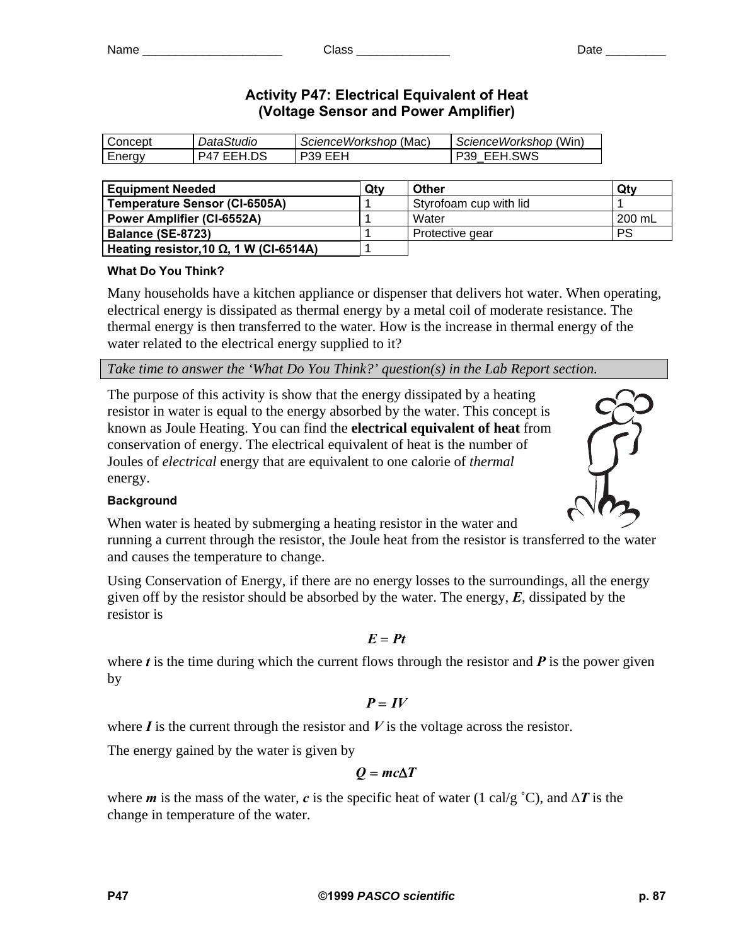# **Activity P47: Electrical Equivalent of Heat (Voltage Sensor and Power Amplifier)**

| Concept | DataStudio    | ScienceWorkshop (Mac) | ScienceWorkshop (Win) |
|---------|---------------|-----------------------|-----------------------|
| Energy  | EEH.DS<br>P47 | P <sub>39</sub> EEH   | EEH.SWS<br>P39        |

| <b>Equipment Needed</b><br>Qty                 |  | Other                  | Qty    |
|------------------------------------------------|--|------------------------|--------|
| Temperature Sensor (CI-6505A)                  |  | Styrofoam cup with lid |        |
| <b>Power Amplifier (CI-6552A)</b>              |  | Water                  | 200 mL |
| Balance (SE-8723)                              |  | Protective gear        | PS     |
| Heating resistor, 10 $\Omega$ , 1 W (CI-6514A) |  |                        |        |

## **What Do You Think?**

Many households have a kitchen appliance or dispenser that delivers hot water. When operating, electrical energy is dissipated as thermal energy by a metal coil of moderate resistance. The thermal energy is then transferred to the water. How is the increase in thermal energy of the water related to the electrical energy supplied to it?

*Take time to answer the 'What Do You Think?' question(s) in the Lab Report section.* 

The purpose of this activity is show that the energy dissipated by a heating resistor in water is equal to the energy absorbed by the water. This concept is known as Joule Heating. You can find the **electrical equivalent of heat** from conservation of energy. The electrical equivalent of heat is the number of Joules of *electrical* energy that are equivalent to one calorie of *thermal* energy.



# **Background**

When water is heated by submerging a heating resistor in the water and running a current through the resistor, the Joule heat from the resistor is transferred to the water and causes the temperature to change.

Using Conservation of Energy, if there are no energy losses to the surroundings, all the energy given off by the resistor should be absorbed by the water. The energy, *E*, dissipated by the resistor is

## $E = Pt$

where  $t$  is the time during which the current flows through the resistor and  $\bm{P}$  is the power given by

 $P = IV$ 

where  $\boldsymbol{I}$  is the current through the resistor and  $\boldsymbol{V}$  is the voltage across the resistor.

The energy gained by the water is given by

# $Q = mc\Delta T$

where *m* is the mass of the water, *c* is the specific heat of water (1 cal/g °C), and  $\Delta T$  is the change in temperature of the water.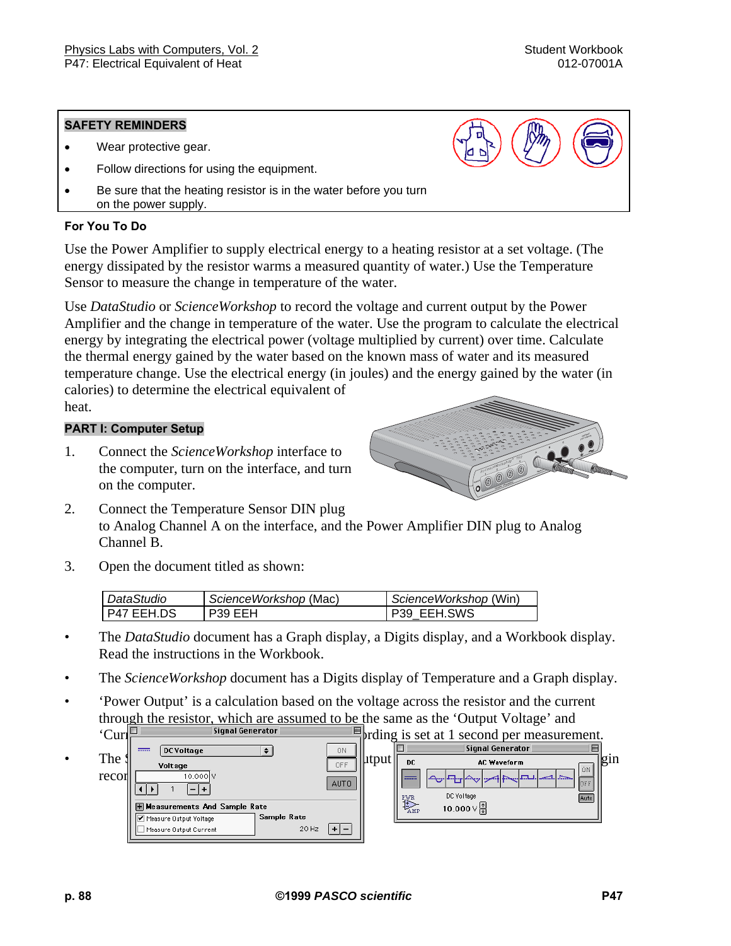## **SAFETY REMINDERS**

- Wear protective gear.
- Follow directions for using the equipment.
- Be sure that the heating resistor is in the water before you turn on the power supply.

#### **For You To Do**

Use the Power Amplifier to supply electrical energy to a heating resistor at a set voltage. (The energy dissipated by the resistor warms a measured quantity of water.) Use the Temperature Sensor to measure the change in temperature of the water.

Use *DataStudio* or *ScienceWorkshop* to record the voltage and current output by the Power Amplifier and the change in temperature of the water. Use the program to calculate the electrical energy by integrating the electrical power (voltage multiplied by current) over time. Calculate the thermal energy gained by the water based on the known mass of water and its measured temperature change. Use the electrical energy (in joules) and the energy gained by the water (in calories) to determine the electrical equivalent of heat.

**PART I: Computer Setup** 

1. Connect the *ScienceWorkshop* interface to the computer, turn on the interface, and turn on the computer.



- 2. Connect the Temperature Sensor DIN plug to Analog Channel A on the interface, and the Power Amplifier DIN plug to Analog Channel B.
- 3. Open the document titled as shown:

| DataStudio   | ScienceWorkshop (Mac) | ScienceWorkshop (Win) |
|--------------|-----------------------|-----------------------|
| I P47 FFH DS | P <sub>39</sub> EEH   | P39 EEH.SWS           |

- The *DataStudio* document has a Graph display, a Digits display, and a Workbook display. Read the instructions in the Workbook.
- The *ScienceWorkshop* document has a Digits display of Temperature and a Graph display.
- 'Power Output' is a calculation based on the voltage across the resistor and the current through the resistor, which are assumed to be the same as the 'Output Voltage' and 'Curi



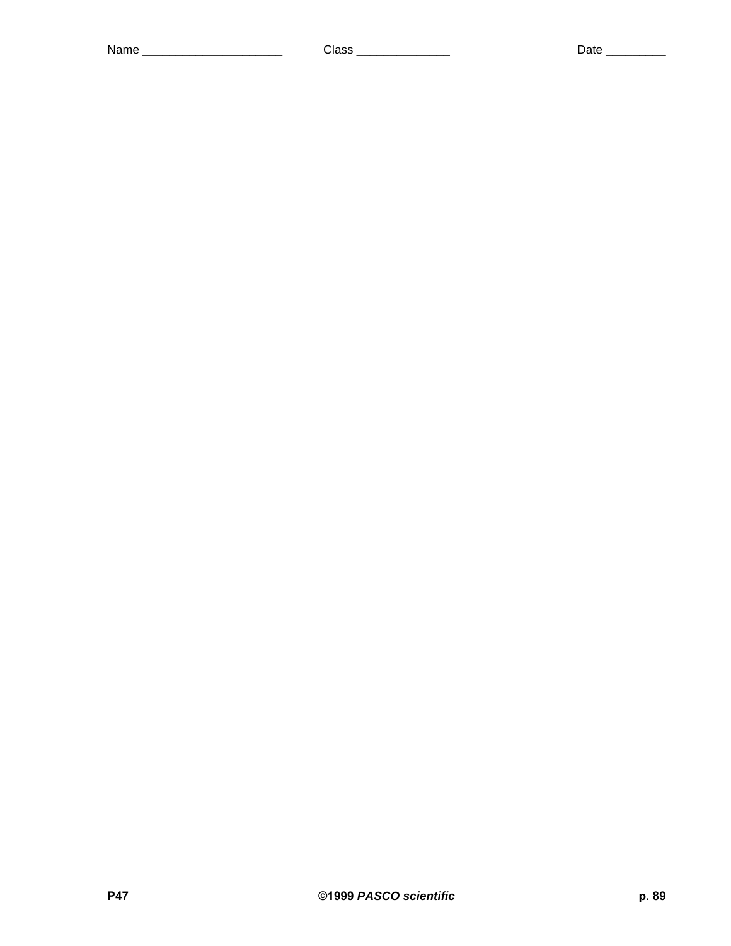| Name |  |  |
|------|--|--|
|      |  |  |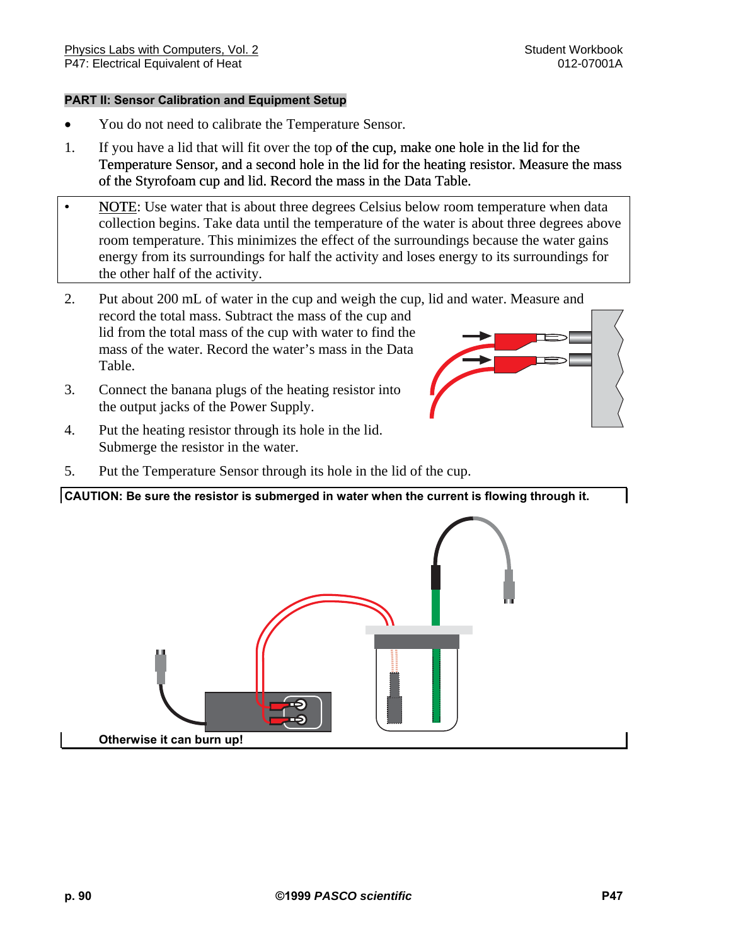#### **PART II: Sensor Calibration and Equipment Setup**

- You do not need to calibrate the Temperature Sensor.
- 1. If you have a lid that will fit over the top of the cup, make one hole in the lid for the Temperature Sensor, and a second hole in the lid for the heating resistor. Measure the mass of the Styrofoam cup and lid. Record the mass in the Data Table.
- NOTE: Use water that is about three degrees Celsius below room temperature when data collection begins. Take data until the temperature of the water is about three degrees above room temperature. This minimizes the effect of the surroundings because the water gains energy from its surroundings for half the activity and loses energy to its surroundings for the other half of the activity.
- 2. Put about 200 mL of water in the cup and weigh the cup, lid and water. Measure and record the total mass. Subtract the mass of the cup and lid from the total mass of the cup with water to find the mass of the water. Record the water's mass in the Data Table.
- 3. Connect the banana plugs of the heating resistor into the output jacks of the Power Supply.
- 4. Put the heating resistor through its hole in the lid. Submerge the resistor in the water.
- 5. Put the Temperature Sensor through its hole in the lid of the cup.

**CAUTION: Be sure the resistor is submerged in water when the current is flowing through it.** 



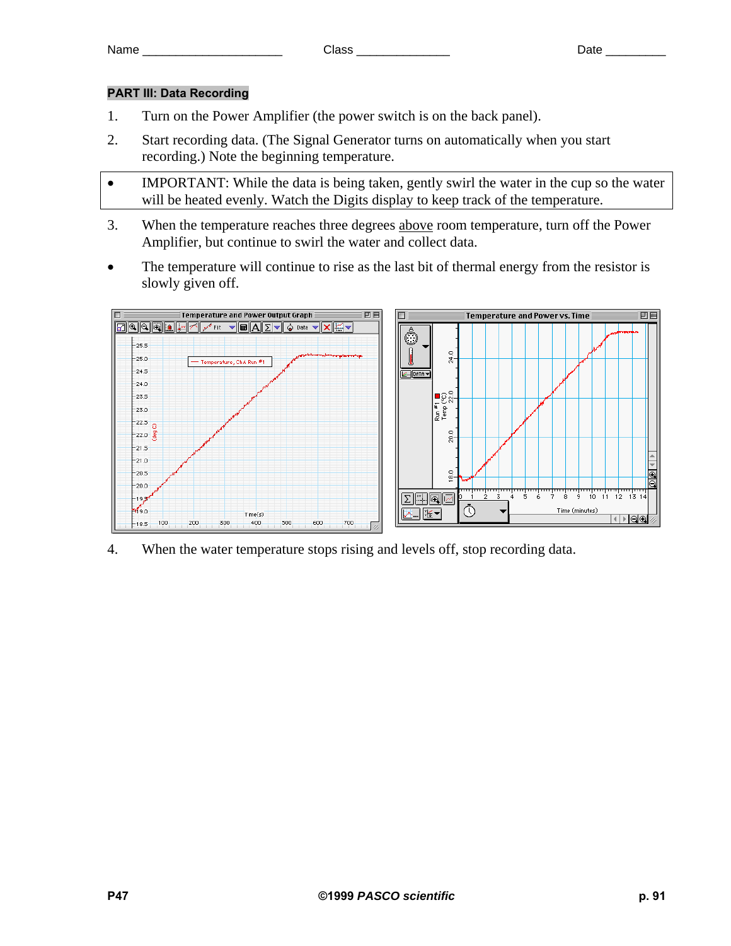## **PART III: Data Recording**

- 1. Turn on the Power Amplifier (the power switch is on the back panel).
- 2. Start recording data. (The Signal Generator turns on automatically when you start recording.) Note the beginning temperature.
- IMPORTANT: While the data is being taken, gently swirl the water in the cup so the water will be heated evenly. Watch the Digits display to keep track of the temperature.
- 3. When the temperature reaches three degrees above room temperature, turn off the Power Amplifier, but continue to swirl the water and collect data.
- The temperature will continue to rise as the last bit of thermal energy from the resistor is slowly given off.



4. When the water temperature stops rising and levels off, stop recording data.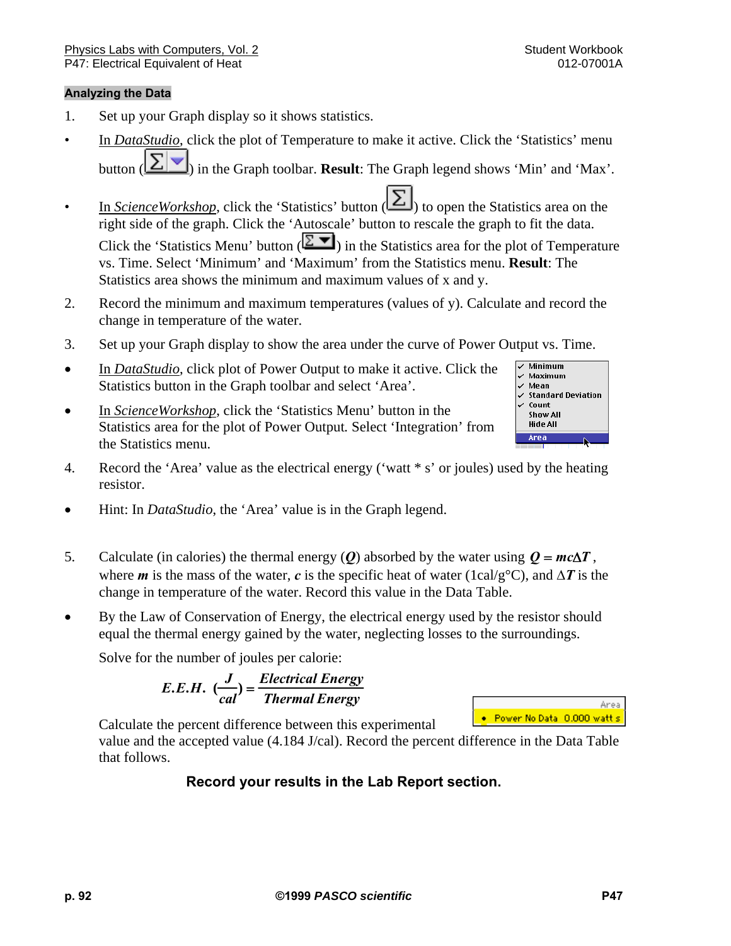#### **Analyzing the Data**

- 1. Set up your Graph display so it shows statistics.
- In *DataStudio*, click the plot of Temperature to make it active. Click the 'Statistics' menu button ( $\boxed{\sum |\bullet|}$ ) in the Graph toolbar. **Result**: The Graph legend shows 'Min' and 'Max'.
- In *ScienceWorkshop*, click the 'Statistics' button  $\left(\sum_{n=1}^{\infty}\right)$  to open the Statistics area on the right side of the graph. Click the 'Autoscale' button to rescale the graph to fit the data. Click the 'Statistics Menu' button ( $\Sigma$ , in the Statistics area for the plot of Temperature vs. Time. Select 'Minimum' and 'Maximum' from the Statistics menu. **Result**: The Statistics area shows the minimum and maximum values of x and y.
- 2. Record the minimum and maximum temperatures (values of y). Calculate and record the change in temperature of the water.
- 3. Set up your Graph display to show the area under the curve of Power Output vs. Time.
- In *DataStudio*, click plot of Power Output to make it active. Click the Statistics button in the Graph toolbar and select 'Area'.
- In *ScienceWorkshop*, click the 'Statistics Menu' button in the Statistics area for the plot of Power Output*.* Select 'Integration' from the Statistics menu.



- 4. Record the 'Area' value as the electrical energy ('watt \* s' or joules) used by the heating resistor.
- Hint: In *DataStudio*, the 'Area' value is in the Graph legend.
- 5. Calculate (in calories) the thermal energy (*Q*) absorbed by the water using  $Q = mc\Delta T$ , where *m* is the mass of the water, *c* is the specific heat of water (1cal/g<sup>o</sup>C), and  $\Delta T$  is the change in temperature of the water. Record this value in the Data Table.
- By the Law of Conservation of Energy, the electrical energy used by the resistor should equal the thermal energy gained by the water, neglecting losses to the surroundings.

Solve for the number of joules per calorie:

$$
E.E.H. \ \left(\frac{J}{cal}\right) = \frac{Electrical Energy}{Thermal Energy}
$$

Area . Power No Data 0.000 watts

Calculate the percent difference between this experimental

value and the accepted value (4.184 J/cal). Record the percent difference in the Data Table that follows.

# **Record your results in the Lab Report section.**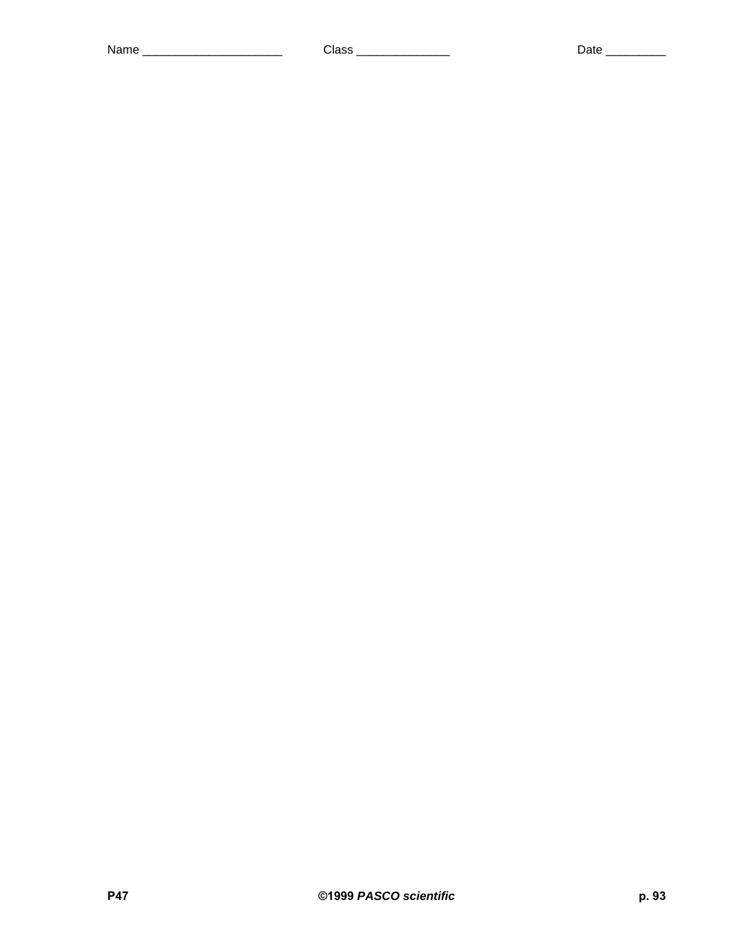| Name |  |  |
|------|--|--|
|      |  |  |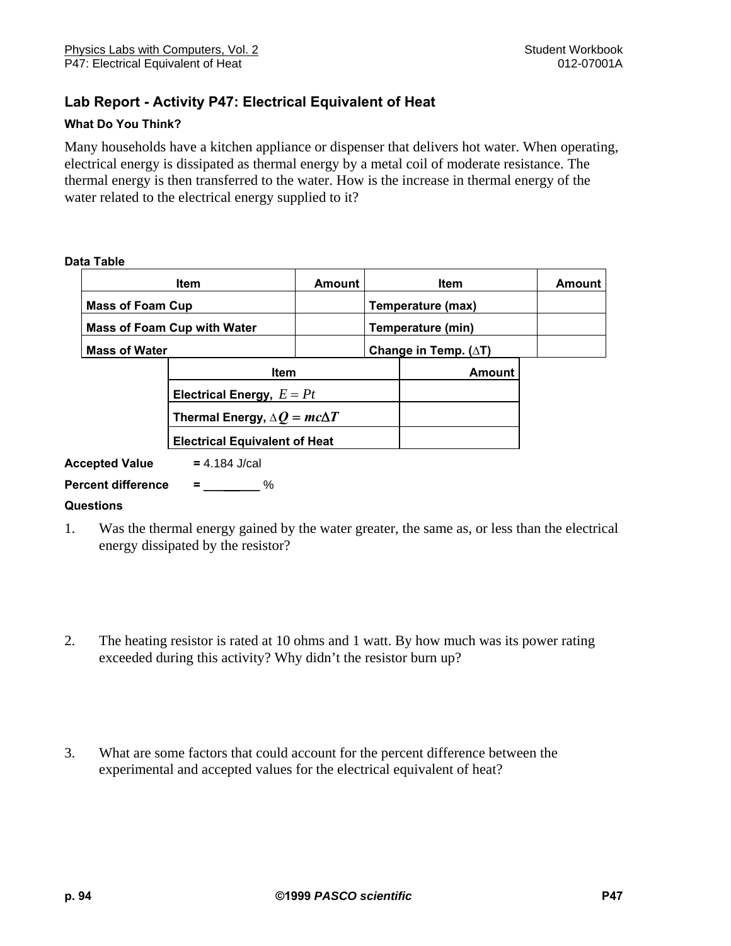# **Lab Report - Activity P47: Electrical Equivalent of Heat**

### **What Do You Think?**

Many households have a kitchen appliance or dispenser that delivers hot water. When operating, electrical energy is dissipated as thermal energy by a metal coil of moderate resistance. The thermal energy is then transferred to the water. How is the increase in thermal energy of the water related to the electrical energy supplied to it?

#### **Data Table**

|  | <b>Item</b><br><b>Mass of Foam Cup</b><br><b>Mass of Foam Cup with Water</b><br><b>Mass of Water</b> |                                      | <b>Amount</b>     | <b>Item</b><br>Temperature (max) |               | <b>Amount</b> |
|--|------------------------------------------------------------------------------------------------------|--------------------------------------|-------------------|----------------------------------|---------------|---------------|
|  |                                                                                                      |                                      |                   |                                  |               |               |
|  |                                                                                                      |                                      | Temperature (min) |                                  |               |               |
|  |                                                                                                      |                                      |                   | Change in Temp. (AT)             |               |               |
|  | <b>Item</b>                                                                                          |                                      |                   |                                  | <b>Amount</b> |               |
|  | Electrical Energy, $E = Pt$                                                                          |                                      |                   |                                  |               |               |
|  | Thermal Energy, $\Delta Q = mc\Delta T$                                                              |                                      |                   |                                  |               |               |
|  |                                                                                                      | <b>Electrical Equivalent of Heat</b> |                   |                                  |               |               |
|  | <b>Accepted Value</b>                                                                                | $= 4.184$ J/cal                      |                   |                                  |               |               |
|  | <b>Percent difference</b>                                                                            | %<br>$=$                             |                   |                                  |               |               |

#### **Questions**

- 1. Was the thermal energy gained by the water greater, the same as, or less than the electrical energy dissipated by the resistor?
- 2. The heating resistor is rated at 10 ohms and 1 watt. By how much was its power rating exceeded during this activity? Why didn't the resistor burn up?
- 3. What are some factors that could account for the percent difference between the experimental and accepted values for the electrical equivalent of heat?